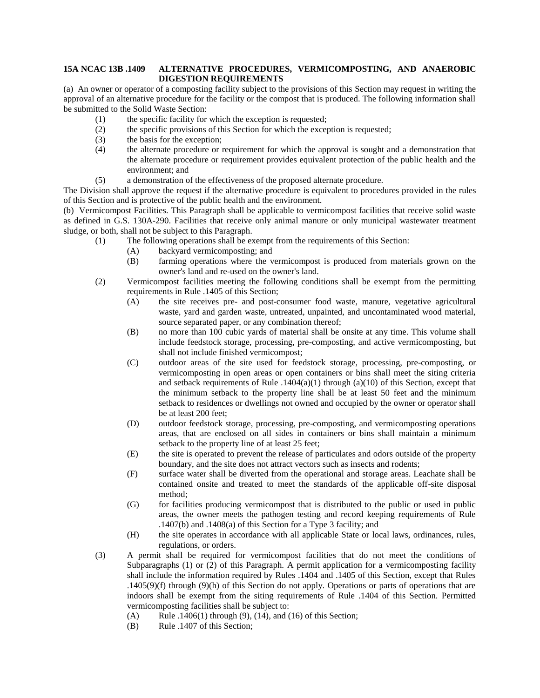## **15A NCAC 13B .1409 ALTERNATIVE PROCEDURES, VERMICOMPOSTING, AND ANAEROBIC DIGESTION REQUIREMENTS**

(a) An owner or operator of a composting facility subject to the provisions of this Section may request in writing the approval of an alternative procedure for the facility or the compost that is produced. The following information shall be submitted to the Solid Waste Section:

- (1) the specific facility for which the exception is requested;
- (2) the specific provisions of this Section for which the exception is requested;
- (3) the basis for the exception;
- (4) the alternate procedure or requirement for which the approval is sought and a demonstration that the alternate procedure or requirement provides equivalent protection of the public health and the environment; and
- (5) a demonstration of the effectiveness of the proposed alternate procedure.

The Division shall approve the request if the alternative procedure is equivalent to procedures provided in the rules of this Section and is protective of the public health and the environment.

(b) Vermicompost Facilities. This Paragraph shall be applicable to vermicompost facilities that receive solid waste as defined in G.S. 130A-290. Facilities that receive only animal manure or only municipal wastewater treatment sludge, or both, shall not be subject to this Paragraph.

- (1) The following operations shall be exempt from the requirements of this Section:
	- (A) backyard vermicomposting; and
	- (B) farming operations where the vermicompost is produced from materials grown on the owner's land and re-used on the owner's land.
- (2) Vermicompost facilities meeting the following conditions shall be exempt from the permitting requirements in Rule .1405 of this Section;
	- (A) the site receives pre- and post-consumer food waste, manure, vegetative agricultural waste, yard and garden waste, untreated, unpainted, and uncontaminated wood material, source separated paper, or any combination thereof;
	- (B) no more than 100 cubic yards of material shall be onsite at any time. This volume shall include feedstock storage, processing, pre-composting, and active vermicomposting, but shall not include finished vermicompost;
	- (C) outdoor areas of the site used for feedstock storage, processing, pre-composting, or vermicomposting in open areas or open containers or bins shall meet the siting criteria and setback requirements of Rule  $.1404(a)(1)$  through  $(a)(10)$  of this Section, except that the minimum setback to the property line shall be at least 50 feet and the minimum setback to residences or dwellings not owned and occupied by the owner or operator shall be at least 200 feet;
	- (D) outdoor feedstock storage, processing, pre-composting, and vermicomposting operations areas, that are enclosed on all sides in containers or bins shall maintain a minimum setback to the property line of at least 25 feet;
	- (E) the site is operated to prevent the release of particulates and odors outside of the property boundary, and the site does not attract vectors such as insects and rodents;
	- (F) surface water shall be diverted from the operational and storage areas. Leachate shall be contained onsite and treated to meet the standards of the applicable off-site disposal method;
	- (G) for facilities producing vermicompost that is distributed to the public or used in public areas, the owner meets the pathogen testing and record keeping requirements of Rule .1407(b) and .1408(a) of this Section for a Type 3 facility; and
	- (H) the site operates in accordance with all applicable State or local laws, ordinances, rules, regulations, or orders.
- (3) A permit shall be required for vermicompost facilities that do not meet the conditions of Subparagraphs (1) or (2) of this Paragraph. A permit application for a vermicomposting facility shall include the information required by Rules .1404 and .1405 of this Section, except that Rules .1405(9)(f) through (9)(h) of this Section do not apply. Operations or parts of operations that are indoors shall be exempt from the siting requirements of Rule .1404 of this Section. Permitted vermicomposting facilities shall be subject to:
	- (A) Rule .1406(1) through (9), (14), and (16) of this Section;
	- (B) Rule .1407 of this Section;